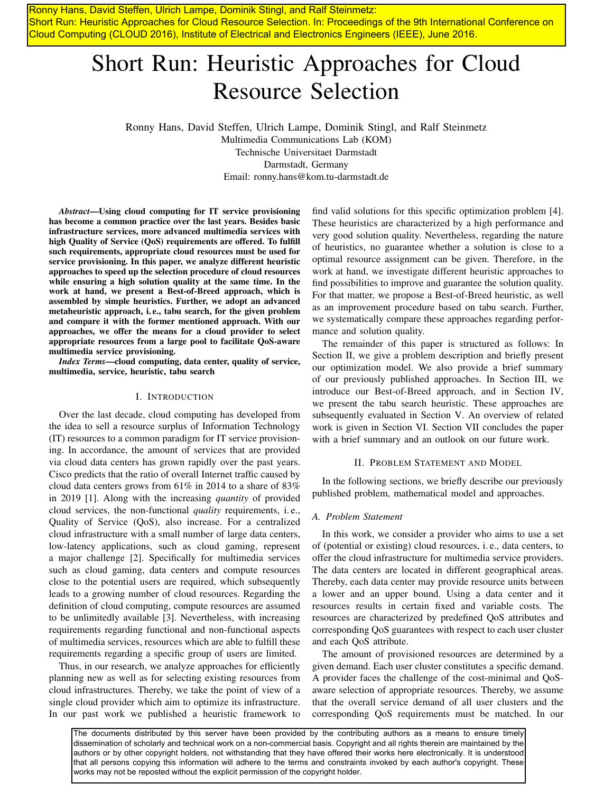Ronny Hans, David Steffen, Ulrich Lampe, Dominik Stingl, and Ralf Steinmetz: Short Run: Heuristic Approaches for Cloud Resource Selection. In: Proceedings of the 9th International Conference on Cloud Computing (CLOUD 2016), Institute of Electrical and Electronics Engineers (IEEE), June 2016.

# Short Run: Heuristic Approaches for Cloud Resource Selection

Ronny Hans, David Steffen, Ulrich Lampe, Dominik Stingl, and Ralf Steinmetz Multimedia Communications Lab (KOM) Technische Universitaet Darmstadt Darmstadt, Germany Email: ronny.hans@kom.tu-darmstadt.de

*Abstract*—Using cloud computing for IT service provisioning has become a common practice over the last years. Besides basic infrastructure services, more advanced multimedia services with high Quality of Service (QoS) requirements are offered. To fulfill such requirements, appropriate cloud resources must be used for service provisioning. In this paper, we analyze different heuristic approaches to speed up the selection procedure of cloud resources while ensuring a high solution quality at the same time. In the work at hand, we present a Best-of-Breed approach, which is assembled by simple heuristics. Further, we adopt an advanced metaheuristic approach, i. e., tabu search, for the given problem and compare it with the former mentioned approach. With our approaches, we offer the means for a cloud provider to select appropriate resources from a large pool to facilitate QoS-aware multimedia service provisioning.

*Index Terms*—cloud computing, data center, quality of service, multimedia, service, heuristic, tabu search

### I. INTRODUCTION

Over the last decade, cloud computing has developed from the idea to sell a resource surplus of Information Technology (IT) resources to a common paradigm for IT service provisioning. In accordance, the amount of services that are provided via cloud data centers has grown rapidly over the past years. Cisco predicts that the ratio of overall Internet traffic caused by cloud data centers grows from 61% in 2014 to a share of 83% in 2019 [1]. Along with the increasing *quantity* of provided cloud services, the non-functional *quality* requirements, i. e., Quality of Service (QoS), also increase. For a centralized cloud infrastructure with a small number of large data centers, low-latency applications, such as cloud gaming, represent a major challenge [2]. Specifically for multimedia services such as cloud gaming, data centers and compute resources close to the potential users are required, which subsequently leads to a growing number of cloud resources. Regarding the definition of cloud computing, compute resources are assumed to be unlimitedly available [3]. Nevertheless, with increasing requirements regarding functional and non-functional aspects of multimedia services, resources which are able to fulfill these requirements regarding a specific group of users are limited.

Thus, in our research, we analyze approaches for efficiently planning new as well as for selecting existing resources from cloud infrastructures. Thereby, we take the point of view of a single cloud provider which aim to optimize its infrastructure. In our past work we published a heuristic framework to find valid solutions for this specific optimization problem [4]. These heuristics are characterized by a high performance and very good solution quality. Nevertheless, regarding the nature of heuristics, no guarantee whether a solution is close to a optimal resource assignment can be given. Therefore, in the work at hand, we investigate different heuristic approaches to find possibilities to improve and guarantee the solution quality. For that matter, we propose a Best-of-Breed heuristic, as well as an improvement procedure based on tabu search. Further, we systematically compare these approaches regarding performance and solution quality.

The remainder of this paper is structured as follows: In Section II, we give a problem description and briefly present our optimization model. We also provide a brief summary of our previously published approaches. In Section III, we introduce our Best-of-Breed approach, and in Section IV, we present the tabu search heuristic. These approaches are subsequently evaluated in Section V. An overview of related work is given in Section VI. Section VII concludes the paper with a brief summary and an outlook on our future work.

#### II. PROBLEM STATEMENT AND MODEL

In the following sections, we briefly describe our previously published problem, mathematical model and approaches.

#### *A. Problem Statement*

In this work, we consider a provider who aims to use a set of (potential or existing) cloud resources, i. e., data centers, to offer the cloud infrastructure for multimedia service providers. The data centers are located in different geographical areas. Thereby, each data center may provide resource units between a lower and an upper bound. Using a data center and it resources results in certain fixed and variable costs. The resources are characterized by predefined QoS attributes and corresponding QoS guarantees with respect to each user cluster and each QoS attribute.

The amount of provisioned resources are determined by a given demand. Each user cluster constitutes a specific demand. A provider faces the challenge of the cost-minimal and QoSaware selection of appropriate resources. Thereby, we assume that the overall service demand of all user clusters and the corresponding QoS requirements must be matched. In our

The documents distributed by this server have been provided by the contributing authors as a means to ensure timely dissemination of scholarly and technical work on a non-commercial basis. Copyright and all rights therein are maintained by the authors or by other copyright holders, not withstanding that they have offered their works here electronically. It is understood that all persons copying this information will adhere to the terms and constraints invoked by each author's copyright. These works may not be reposted without the explicit permission of the copyright holder.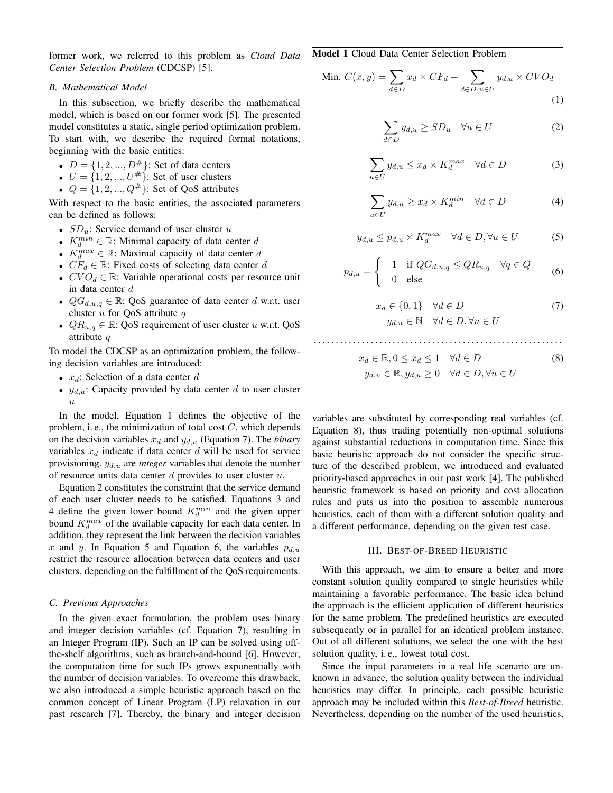former work, we referred to this problem as *Cloud Data Center Selection Problem* (CDCSP) [5].

#### *B. Mathematical Model*

In this subsection, we briefly describe the mathematical model, which is based on our former work [5]. The presented model constitutes a static, single period optimization problem. To start with, we describe the required formal notations, beginning with the basic entities:

- $D = \{1, 2, ..., D^{\#}\}\$ : Set of data centers
- $U = \{1, 2, ..., U^{\#}\}\$ : Set of user clusters
- $Q = \{1, 2, ..., Q^{\#}\}\$ : Set of QoS attributes

With respect to the basic entities, the associated parameters can be defined as follows:

- $SD_u$ : Service demand of user cluster u
- $K_d^{min} \in \mathbb{R}$ : Minimal capacity of data center d
- $K_d^{max} \in \mathbb{R}$ : Maximal capacity of data center d
- $CF_d \in \mathbb{R}$ : Fixed costs of selecting data center d
- $CVO_d \in \mathbb{R}$ : Variable operational costs per resource unit in data center d
- $QG_{d,u,q} \in \mathbb{R}$ : QoS guarantee of data center d w.r.t. user cluster  $u$  for QoS attribute  $q$
- $QR_{u,q} \in \mathbb{R}$ : QoS requirement of user cluster u w.r.t. QoS attribute q

To model the CDCSP as an optimization problem, the following decision variables are introduced:

- $x_d$ : Selection of a data center d
- $y_{d,u}$ : Capacity provided by data center d to user cluster  $\overline{u}$

In the model, Equation 1 defines the objective of the problem, i. e., the minimization of total cost  $C$ , which depends on the decision variables  $x_d$  and  $y_{d,u}$  (Equation 7). The *binary* variables  $x_d$  indicate if data center d will be used for service provisioning.  $y_{d,u}$  are *integer* variables that denote the number of resource units data center  $d$  provides to user cluster  $u$ .

Equation 2 constitutes the constraint that the service demand of each user cluster needs to be satisfied. Equations 3 and 4 define the given lower bound  $K_d^{min}$  and the given upper bound  $K_d^{max}$  of the available capacity for each data center. In addition, they represent the link between the decision variables x and y. In Equation 5 and Equation 6, the variables  $p_{d,u}$ restrict the resource allocation between data centers and user clusters, depending on the fulfillment of the QoS requirements.

#### *C. Previous Approaches*

In the given exact formulation, the problem uses binary and integer decision variables (cf. Equation 7), resulting in an Integer Program (IP). Such an IP can be solved using offthe-shelf algorithms, such as branch-and-bound [6]. However, the computation time for such IPs grows exponentially with the number of decision variables. To overcome this drawback, we also introduced a simple heuristic approach based on the common concept of Linear Program (LP) relaxation in our past research [7]. Thereby, the binary and integer decision Model 1 Cloud Data Center Selection Problem

Min. 
$$
C(x, y) = \sum_{d \in D} x_d \times CF_d + \sum_{d \in D, u \in U} y_{d,u} \times CVO_d
$$
 (1)

$$
\sum_{d \in D} y_{d,u} \ge SD_u \quad \forall u \in U \tag{2}
$$

$$
\sum_{u \in U} y_{d,u} \le x_d \times K_d^{max} \quad \forall d \in D \tag{3}
$$

$$
\sum_{u \in U} y_{d,u} \ge x_d \times K_d^{min} \quad \forall d \in D \tag{4}
$$

$$
y_{d,u} \le p_{d,u} \times K_d^{max} \quad \forall d \in D, \forall u \in U \tag{5}
$$

$$
p_{d,u} = \begin{cases} 1 & \text{if } QG_{d,u,q} \le QR_{u,q} \quad \forall q \in Q \\ 0 & \text{else} \end{cases}
$$
 (6)

$$
x_d \in \{0, 1\} \quad \forall d \in D
$$
  

$$
y_{d,u} \in \mathbb{N} \quad \forall d \in D, \forall u \in U
$$
 (7)

$$
x_d \in \mathbb{R}, 0 \le x_d \le 1 \quad \forall d \in D \tag{8}
$$
  

$$
y_{d,u} \in \mathbb{R}, y_{d,u} > 0 \quad \forall d \in D, \forall u \in U
$$

$$
\frac{\partial u}{\partial u} = \frac{\partial u}{\partial u} = \frac{\partial u}{\partial u} = 0
$$

variables are substituted by corresponding real variables (cf. Equation 8), thus trading potentially non-optimal solutions against substantial reductions in computation time. Since this basic heuristic approach do not consider the specific structure of the described problem, we introduced and evaluated priority-based approaches in our past work [4]. The published heuristic framework is based on priority and cost allocation rules and puts us into the position to assemble numerous heuristics, each of them with a different solution quality and a different performance, depending on the given test case.

#### III. BEST-OF-BREED HEURISTIC

With this approach, we aim to ensure a better and more constant solution quality compared to single heuristics while maintaining a favorable performance. The basic idea behind the approach is the efficient application of different heuristics for the same problem. The predefined heuristics are executed subsequently or in parallel for an identical problem instance. Out of all different solutions, we select the one with the best solution quality, i. e., lowest total cost.

Since the input parameters in a real life scenario are unknown in advance, the solution quality between the individual heuristics may differ. In principle, each possible heuristic approach may be included within this *Best-of-Breed* heuristic. Nevertheless, depending on the number of the used heuristics,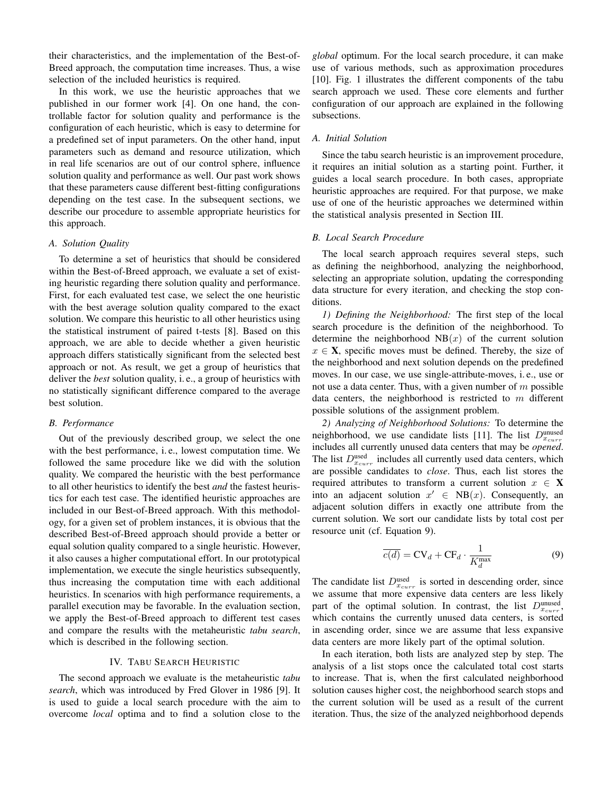their characteristics, and the implementation of the Best-of-Breed approach, the computation time increases. Thus, a wise selection of the included heuristics is required.

In this work, we use the heuristic approaches that we published in our former work [4]. On one hand, the controllable factor for solution quality and performance is the configuration of each heuristic, which is easy to determine for a predefined set of input parameters. On the other hand, input parameters such as demand and resource utilization, which in real life scenarios are out of our control sphere, influence solution quality and performance as well. Our past work shows that these parameters cause different best-fitting configurations depending on the test case. In the subsequent sections, we describe our procedure to assemble appropriate heuristics for this approach.

#### *A. Solution Quality*

To determine a set of heuristics that should be considered within the Best-of-Breed approach, we evaluate a set of existing heuristic regarding there solution quality and performance. First, for each evaluated test case, we select the one heuristic with the best average solution quality compared to the exact solution. We compare this heuristic to all other heuristics using the statistical instrument of paired t-tests [8]. Based on this approach, we are able to decide whether a given heuristic approach differs statistically significant from the selected best approach or not. As result, we get a group of heuristics that deliver the *best* solution quality, i. e., a group of heuristics with no statistically significant difference compared to the average best solution.

#### *B. Performance*

Out of the previously described group, we select the one with the best performance, i. e., lowest computation time. We followed the same procedure like we did with the solution quality. We compared the heuristic with the best performance to all other heuristics to identify the best *and* the fastest heuristics for each test case. The identified heuristic approaches are included in our Best-of-Breed approach. With this methodology, for a given set of problem instances, it is obvious that the described Best-of-Breed approach should provide a better or equal solution quality compared to a single heuristic. However, it also causes a higher computational effort. In our prototypical implementation, we execute the single heuristics subsequently, thus increasing the computation time with each additional heuristics. In scenarios with high performance requirements, a parallel execution may be favorable. In the evaluation section, we apply the Best-of-Breed approach to different test cases and compare the results with the metaheuristic *tabu search*, which is described in the following section.

#### IV. TABU SEARCH HEURISTIC

The second approach we evaluate is the metaheuristic *tabu search*, which was introduced by Fred Glover in 1986 [9]. It is used to guide a local search procedure with the aim to overcome *local* optima and to find a solution close to the

*global* optimum. For the local search procedure, it can make use of various methods, such as approximation procedures [10]. Fig. 1 illustrates the different components of the tabu search approach we used. These core elements and further configuration of our approach are explained in the following subsections.

## *A. Initial Solution*

Since the tabu search heuristic is an improvement procedure, it requires an initial solution as a starting point. Further, it guides a local search procedure. In both cases, appropriate heuristic approaches are required. For that purpose, we make use of one of the heuristic approaches we determined within the statistical analysis presented in Section III.

#### *B. Local Search Procedure*

The local search approach requires several steps, such as defining the neighborhood, analyzing the neighborhood, selecting an appropriate solution, updating the corresponding data structure for every iteration, and checking the stop conditions.

*1) Defining the Neighborhood:* The first step of the local search procedure is the definition of the neighborhood. To determine the neighborhood  $NB(x)$  of the current solution  $x \in \mathbf{X}$ , specific moves must be defined. Thereby, the size of the neighborhood and next solution depends on the predefined moves. In our case, we use single-attribute-moves, i. e., use or not use a data center. Thus, with a given number of  $m$  possible data centers, the neighborhood is restricted to  $m$  different possible solutions of the assignment problem.

*2) Analyzing of Neighborhood Solutions:* To determine the neighborhood, we use candidate lists [11]. The list  $D_{x_{curr}}^{\text{unused}}$ includes all currently unused data centers that may be *opened*. The list  $D_{x_{curr}}^{\text{used}}$  includes all currently used data centers, which are possible candidates to *close*. Thus, each list stores the required attributes to transform a current solution  $x \in X$ into an adjacent solution  $x' \in NB(x)$ . Consequently, an adjacent solution differs in exactly one attribute from the current solution. We sort our candidate lists by total cost per resource unit (cf. Equation 9).

$$
\overline{c(d)} = \text{CV}_d + \text{CF}_d \cdot \frac{1}{K_d^{\max}} \tag{9}
$$

The candidate list  $D_{x_{curr}}^{\text{used}}$  is sorted in descending order, since we assume that more expensive data centers are less likely part of the optimal solution. In contrast, the list  $D_{x_{curr}}^{\text{unused}}$ , which contains the currently unused data centers, is sorted in ascending order, since we are assume that less expansive data centers are more likely part of the optimal solution.

In each iteration, both lists are analyzed step by step. The analysis of a list stops once the calculated total cost starts to increase. That is, when the first calculated neighborhood solution causes higher cost, the neighborhood search stops and the current solution will be used as a result of the current iteration. Thus, the size of the analyzed neighborhood depends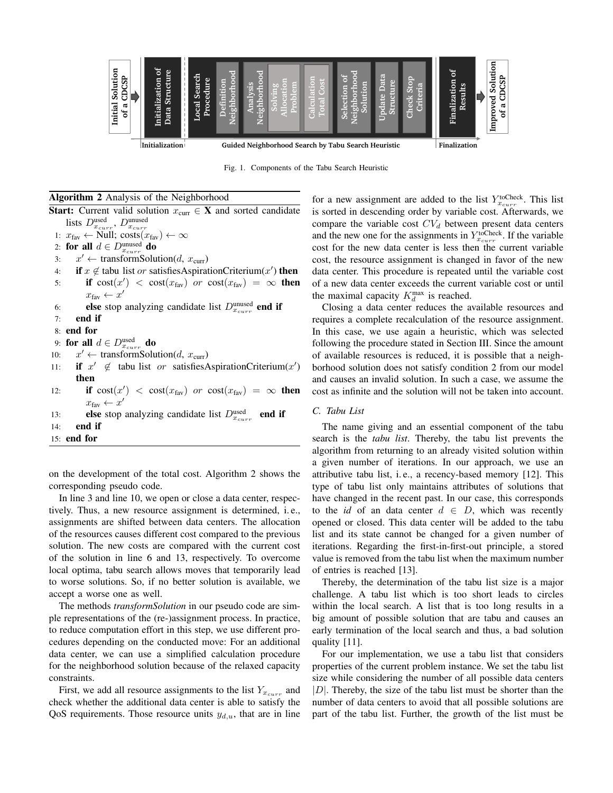

Fig. 1. Components of the Tabu Search Heuristic

#### Algorithm 2 Analysis of the Neighborhood

**Start:** Current valid solution  $x_{\text{curr}} \in \mathbf{X}$  and sorted candidate lists  $D_{x_{curr}}^{\text{used}}, D_{x_{curr}}^{\text{unused}}$ 1:  $x_{\text{fav}} \leftarrow$  Null;  $\text{costs}(x_{\text{fav}}) \leftarrow \infty$ 2: for all  $d \in D_{x_{curr}}^{\text{unused}}$  do 3:  $x' \leftarrow \text{transformSolution}(d, x_{\text{curr}})$ 4: if  $x \notin$  tabu list or satisfiesAspirationCriterium(x') then 5: if  $cost(x') < cost(x_{\text{fav}})$  or  $cost(x_{\text{fav}}) = \infty$  then  $x_{\text{fav}} \leftarrow x'$ 6: **else** stop analyzing candidate list  $D_{x_{curr}}^{\text{unused}}$  **end if** 7: end if 8: end for 9: for all  $d \in D_{x_{curr}}^{\text{used}}$  do 10:  $x' \leftarrow \text{transformSolution}(d, x_{\text{curr}})$ 11: **if**  $x' \notin$  tabu list or satisfiesAspirationCriterium(x') then 12: **if**  $cost(x_1') < cost(x_{\text{far}})$  or  $cost(x_{\text{far}}) = \infty$  then  $x_{\text{fav}} \leftarrow x'$ 13: **else** stop analyzing candidate list  $D_{x_{curr}}^{\text{used}}$  **end if** 14: end if 15: end for

on the development of the total cost. Algorithm 2 shows the corresponding pseudo code.

In line 3 and line 10, we open or close a data center, respectively. Thus, a new resource assignment is determined, i. e., assignments are shifted between data centers. The allocation of the resources causes different cost compared to the previous solution. The new costs are compared with the current cost of the solution in line 6 and 13, respectively. To overcome local optima, tabu search allows moves that temporarily lead to worse solutions. So, if no better solution is available, we accept a worse one as well.

The methods *transformSolution* in our pseudo code are simple representations of the (re-)assignment process. In practice, to reduce computation effort in this step, we use different procedures depending on the conducted move: For an additional data center, we can use a simplified calculation procedure for the neighborhood solution because of the relaxed capacity constraints.

First, we add all resource assignments to the list  $Y_{x_{curr}}$  and check whether the additional data center is able to satisfy the QoS requirements. Those resource units  $y_{d,u}$ , that are in line

for a new assignment are added to the list  $Y_{x_{curr}}^{toCheck}$ . This list is sorted in descending order by variable cost. Afterwards, we compare the variable cost  $CV<sub>d</sub>$  between present data centers and the new one for the assignments in  $Y_{x_{curr}}^{toCheck}$ . If the variable cost for the new data center is less then the current variable cost, the resource assignment is changed in favor of the new data center. This procedure is repeated until the variable cost of a new data center exceeds the current variable cost or until the maximal capacity  $K_d^{\text{max}}$  is reached.

Closing a data center reduces the available resources and requires a complete recalculation of the resource assignment. In this case, we use again a heuristic, which was selected following the procedure stated in Section III. Since the amount of available resources is reduced, it is possible that a neighborhood solution does not satisfy condition 2 from our model and causes an invalid solution. In such a case, we assume the cost as infinite and the solution will not be taken into account.

### *C. Tabu List*

The name giving and an essential component of the tabu search is the *tabu list*. Thereby, the tabu list prevents the algorithm from returning to an already visited solution within a given number of iterations. In our approach, we use an attributive tabu list, i. e., a recency-based memory [12]. This type of tabu list only maintains attributes of solutions that have changed in the recent past. In our case, this corresponds to the *id* of an data center  $d \in D$ , which was recently opened or closed. This data center will be added to the tabu list and its state cannot be changed for a given number of iterations. Regarding the first-in-first-out principle, a stored value is removed from the tabu list when the maximum number of entries is reached [13].

Thereby, the determination of the tabu list size is a major challenge. A tabu list which is too short leads to circles within the local search. A list that is too long results in a big amount of possible solution that are tabu and causes an early termination of the local search and thus, a bad solution quality [11].

For our implementation, we use a tabu list that considers properties of the current problem instance. We set the tabu list size while considering the number of all possible data centers  $|D|$ . Thereby, the size of the tabu list must be shorter than the number of data centers to avoid that all possible solutions are part of the tabu list. Further, the growth of the list must be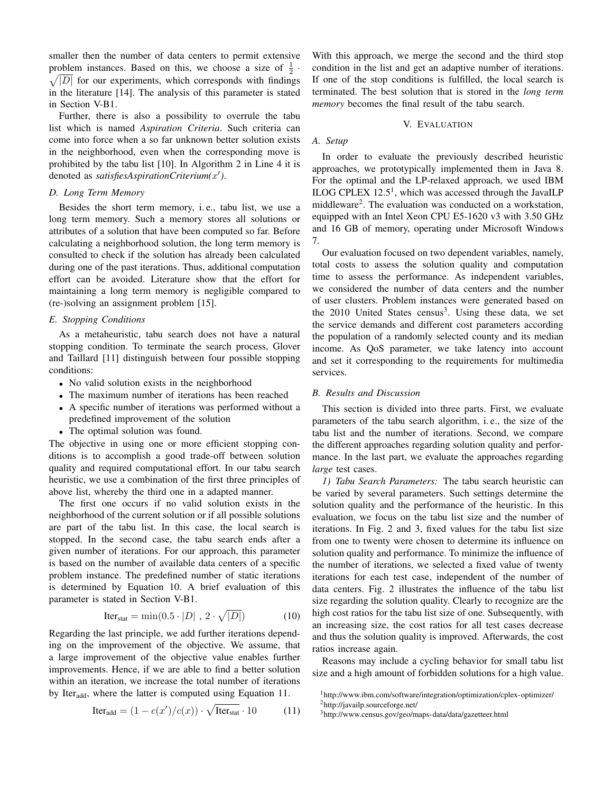smaller then the number of data centers to permit extensive problem instances. Based on this, we choose a size of  $\frac{1}{2}$ problem instances. Based on this, we choose a size of  $\frac{1}{2} \cdot \sqrt{|D|}$  for our experiments, which corresponds with findings in the literature [14]. The analysis of this parameter is stated in Section V-B1.

Further, there is also a possibility to overrule the tabu list which is named *Aspiration Criteria*. Such criteria can come into force when a so far unknown better solution exists in the neighborhood, even when the corresponding move is prohibited by the tabu list [10]. In Algorithm 2 in Line 4 it is denoted as *satisfiesAspirationCriterium(*x 0 *)*.

### *D. Long Term Memory*

Besides the short term memory, i. e., tabu list, we use a long term memory. Such a memory stores all solutions or attributes of a solution that have been computed so far. Before calculating a neighborhood solution, the long term memory is consulted to check if the solution has already been calculated during one of the past iterations. Thus, additional computation effort can be avoided. Literature show that the effort for maintaining a long term memory is negligible compared to (re-)solving an assignment problem [15].

#### *E. Stopping Conditions*

As a metaheuristic, tabu search does not have a natural stopping condition. To terminate the search process, Glover and Taillard [11] distinguish between four possible stopping conditions:

- No valid solution exists in the neighborhood
- The maximum number of iterations has been reached
- A specific number of iterations was performed without a predefined improvement of the solution
- The optimal solution was found.

The objective in using one or more efficient stopping conditions is to accomplish a good trade-off between solution quality and required computational effort. In our tabu search heuristic, we use a combination of the first three principles of above list, whereby the third one in a adapted manner.

The first one occurs if no valid solution exists in the neighborhood of the current solution or if all possible solutions are part of the tabu list. In this case, the local search is stopped. In the second case, the tabu search ends after a given number of iterations. For our approach, this parameter is based on the number of available data centers of a specific problem instance. The predefined number of static iterations is determined by Equation 10. A brief evaluation of this parameter is stated in Section V-B1.

$$
Iterstat = min(0.5 \cdot |D|, 2 \cdot \sqrt{|D|})
$$
 (10)

Regarding the last principle, we add further iterations depending on the improvement of the objective. We assume, that a large improvement of the objective value enables further improvements. Hence, if we are able to find a better solution within an iteration, we increase the total number of iterations by Iter<sub>add</sub>, where the latter is computed using Equation 11.

$$
Iteradd = (1 - c(x')/c(x)) \cdot \sqrt{Iterstat} \cdot 10
$$
 (11)

With this approach, we merge the second and the third stop condition in the list and get an adaptive number of iterations. If one of the stop conditions is fulfilled, the local search is terminated. The best solution that is stored in the *long term memory* becomes the final result of the tabu search.

## V. EVALUATION

#### *A. Setup*

In order to evaluate the previously described heuristic approaches, we prototypically implemented them in Java 8. For the optimal and the LP-relaxed approach, we used IBM ILOG CPLEX  $12.5<sup>1</sup>$ , which was accessed through the JavaILP middleware<sup>2</sup>. The evaluation was conducted on a workstation, equipped with an Intel Xeon CPU E5-1620 v3 with 3.50 GHz and 16 GB of memory, operating under Microsoft Windows 7.

Our evaluation focused on two dependent variables, namely, total costs to assess the solution quality and computation time to assess the performance. As independent variables, we considered the number of data centers and the number of user clusters. Problem instances were generated based on the 2010 United States census<sup>3</sup>. Using these data, we set the service demands and different cost parameters according the population of a randomly selected county and its median income. As QoS parameter, we take latency into account and set it corresponding to the requirements for multimedia services.

#### *B. Results and Discussion*

This section is divided into three parts. First, we evaluate parameters of the tabu search algorithm, i. e., the size of the tabu list and the number of iterations. Second, we compare the different approaches regarding solution quality and performance. In the last part, we evaluate the approaches regarding *large* test cases.

*1) Tabu Search Parameters:* The tabu search heuristic can be varied by several parameters. Such settings determine the solution quality and the performance of the heuristic. In this evaluation, we focus on the tabu list size and the number of iterations. In Fig. 2 and 3, fixed values for the tabu list size from one to twenty were chosen to determine its influence on solution quality and performance. To minimize the influence of the number of iterations, we selected a fixed value of twenty iterations for each test case, independent of the number of data centers. Fig. 2 illustrates the influence of the tabu list size regarding the solution quality. Clearly to recognize are the high cost ratios for the tabu list size of one. Subsequently, with an increasing size, the cost ratios for all test cases decrease and thus the solution quality is improved. Afterwards, the cost ratios increase again.

Reasons may include a cycling behavior for small tabu list size and a high amount of forbidden solutions for a high value.

<sup>1</sup>http://www.ibm.com/software/integration/optimization/cplex-optimizer/

<sup>2</sup>http://javailp.sourceforge.net/

<sup>3</sup>http://www.census.gov/geo/maps-data/data/gazetteer.html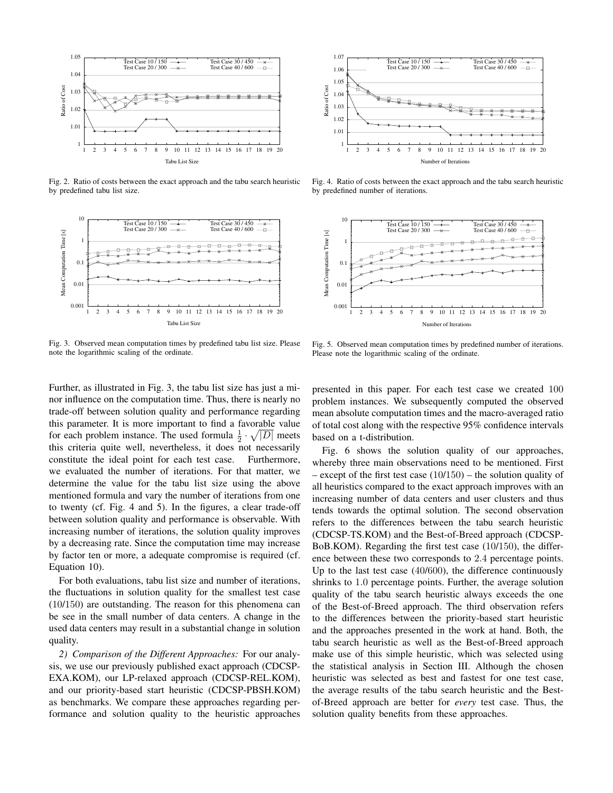

Fig. 2. Ratio of costs between the exact approach and the tabu search heuristic by predefined tabu list size.



Fig. 3. Observed mean computation times by predefined tabu list size. Please note the logarithmic scaling of the ordinate.



Fig. 4. Ratio of costs between the exact approach and the tabu search heuristic by predefined number of iterations.



Fig. 5. Observed mean computation times by predefined number of iterations. Please note the logarithmic scaling of the ordinate.

Further, as illustrated in Fig. 3, the tabu list size has just a minor influence on the computation time. Thus, there is nearly no trade-off between solution quality and performance regarding this parameter. It is more important to find a favorable value for each problem instance. The used formula  $\frac{1}{2} \cdot \sqrt{|D|}$  meets this criteria quite well, nevertheless, it does not necessarily constitute the ideal point for each test case. Furthermore, we evaluated the number of iterations. For that matter, we determine the value for the tabu list size using the above mentioned formula and vary the number of iterations from one to twenty (cf. Fig. 4 and 5). In the figures, a clear trade-off between solution quality and performance is observable. With increasing number of iterations, the solution quality improves by a decreasing rate. Since the computation time may increase by factor ten or more, a adequate compromise is required (cf. Equation 10).

For both evaluations, tabu list size and number of iterations, the fluctuations in solution quality for the smallest test case (10/150) are outstanding. The reason for this phenomena can be see in the small number of data centers. A change in the used data centers may result in a substantial change in solution quality.

*2) Comparison of the Different Approaches:* For our analysis, we use our previously published exact approach (CDCSP-EXA.KOM), our LP-relaxed approach (CDCSP-REL.KOM), and our priority-based start heuristic (CDCSP-PBSH.KOM) as benchmarks. We compare these approaches regarding performance and solution quality to the heuristic approaches

presented in this paper. For each test case we created 100 problem instances. We subsequently computed the observed mean absolute computation times and the macro-averaged ratio of total cost along with the respective 95% confidence intervals based on a t-distribution.

Fig. 6 shows the solution quality of our approaches, whereby three main observations need to be mentioned. First – except of the first test case  $(10/150)$  – the solution quality of all heuristics compared to the exact approach improves with an increasing number of data centers and user clusters and thus tends towards the optimal solution. The second observation refers to the differences between the tabu search heuristic (CDCSP-TS.KOM) and the Best-of-Breed approach (CDCSP-BoB.KOM). Regarding the first test case (10/150), the difference between these two corresponds to 2.4 percentage points. Up to the last test case (40/600), the difference continuously shrinks to 1.0 percentage points. Further, the average solution quality of the tabu search heuristic always exceeds the one of the Best-of-Breed approach. The third observation refers to the differences between the priority-based start heuristic and the approaches presented in the work at hand. Both, the tabu search heuristic as well as the Best-of-Breed approach make use of this simple heuristic, which was selected using the statistical analysis in Section III. Although the chosen heuristic was selected as best and fastest for one test case, the average results of the tabu search heuristic and the Bestof-Breed approach are better for *every* test case. Thus, the solution quality benefits from these approaches.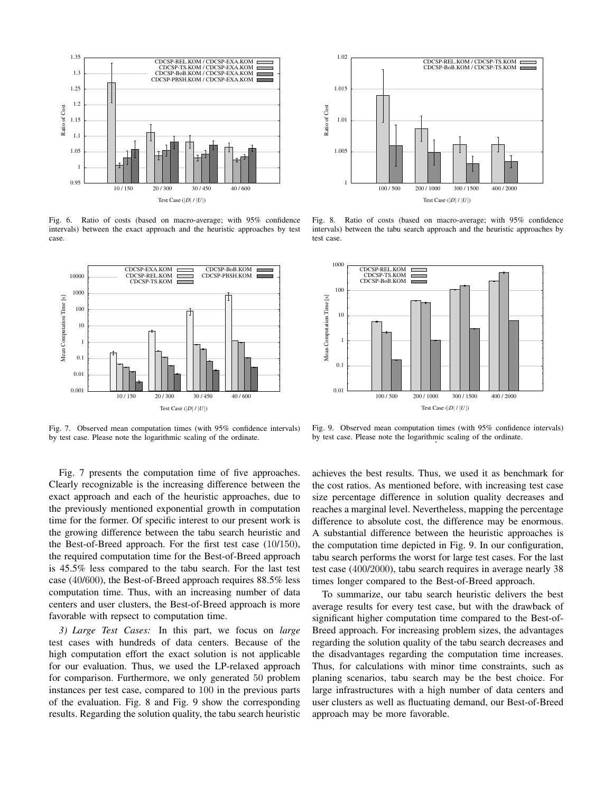

Fig. 6. Ratio of costs (based on macro-average; with 95% confidence intervals) between the exact approach and the heuristic approaches by test case.



Fig. 7. Observed mean computation times (with 95% confidence intervals) by test case. Please note the logarithmic scaling of the ordinate.

Fig. 7 presents the computation time of five approaches. Clearly recognizable is the increasing difference between the exact approach and each of the heuristic approaches, due to the previously mentioned exponential growth in computation time for the former. Of specific interest to our present work is the growing difference between the tabu search heuristic and the Best-of-Breed approach. For the first test case (10/150), the required computation time for the Best-of-Breed approach is 45.5% less compared to the tabu search. For the last test case (40/600), the Best-of-Breed approach requires 88.5% less computation time. Thus, with an increasing number of data centers and user clusters, the Best-of-Breed approach is more favorable with repsect to computation time.

*3) Large Test Cases:* In this part, we focus on *large* test cases with hundreds of data centers. Because of the high computation effort the exact solution is not applicable for our evaluation. Thus, we used the LP-relaxed approach for comparison. Furthermore, we only generated 50 problem instances per test case, compared to 100 in the previous parts of the evaluation. Fig. 8 and Fig. 9 show the corresponding results. Regarding the solution quality, the tabu search heuristic



Fig. 8. Ratio of costs (based on macro-average; with 95% confidence intervals) between the tabu search approach and the heuristic approaches by test case.



Fig. 9. Observed mean computation times (with 95% confidence intervals) by test case. Please note the logarithmic scaling of the ordinate. .

achieves the best results. Thus, we used it as benchmark for the cost ratios. As mentioned before, with increasing test case size percentage difference in solution quality decreases and reaches a marginal level. Nevertheless, mapping the percentage difference to absolute cost, the difference may be enormous. A substantial difference between the heuristic approaches is the computation time depicted in Fig. 9. In our configuration, tabu search performs the worst for large test cases. For the last test case (400/2000), tabu search requires in average nearly 38 times longer compared to the Best-of-Breed approach.

To summarize, our tabu search heuristic delivers the best average results for every test case, but with the drawback of significant higher computation time compared to the Best-of-Breed approach. For increasing problem sizes, the advantages regarding the solution quality of the tabu search decreases and the disadvantages regarding the computation time increases. Thus, for calculations with minor time constraints, such as planing scenarios, tabu search may be the best choice. For large infrastructures with a high number of data centers and user clusters as well as fluctuating demand, our Best-of-Breed approach may be more favorable.